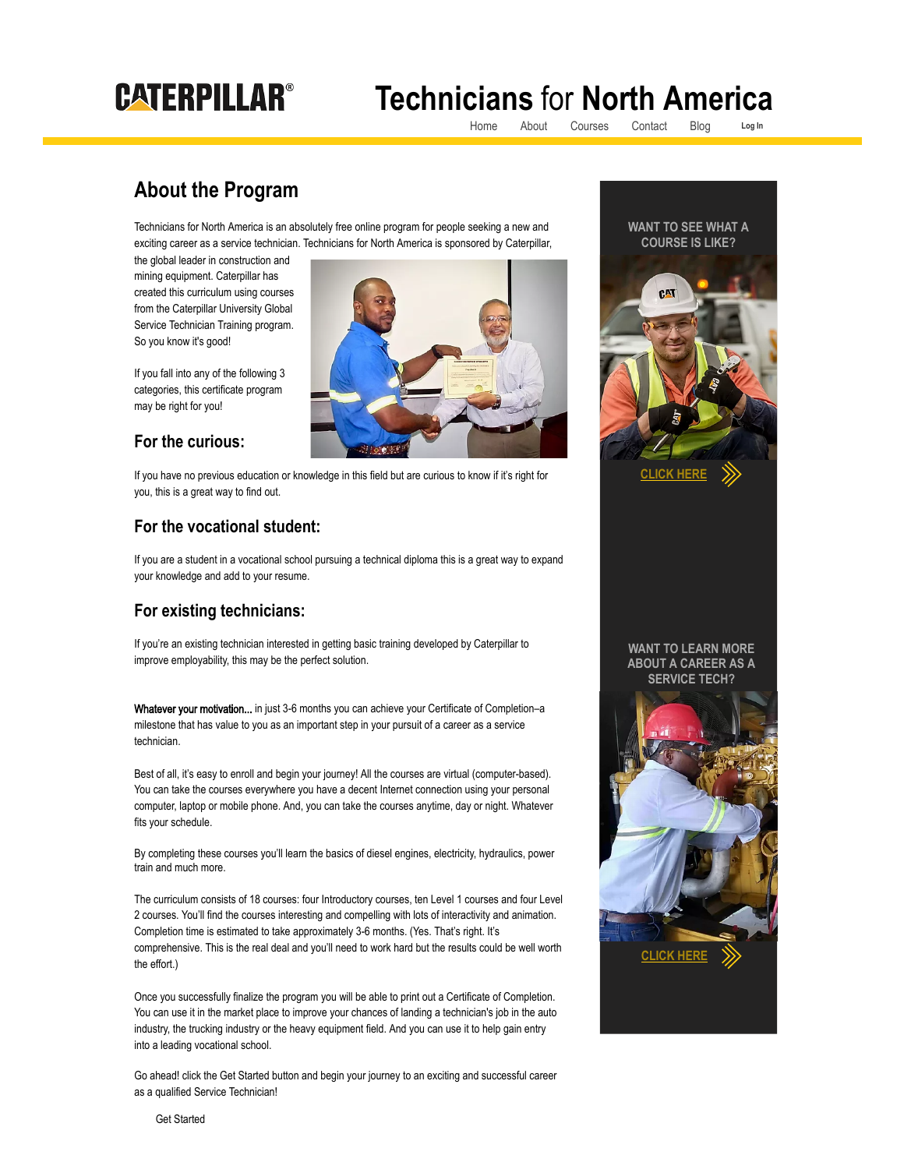# **CATERPILLAR®**

## **Technicians** for **North America**

[Home](https://www.t4na.caterpillaruniversity.com/) [About](https://www.t4na.caterpillaruniversity.com/about) [Courses](https://www.t4na.caterpillaruniversity.com/courses) [Contact](https://www.t4na.caterpillaruniversity.com/contact) [Blog](https://www.t4na.caterpillaruniversity.com/blog) **[Log In](https://dlms.logicbay.com/dlms/login/center29.jsp)**

### **About the Program**

Technicians for North America is an absolutely free online program for people seeking a new and exciting career as a service technician. Technicians for North America is sponsored by Caterpillar,

the global leader in construction and mining equipment. Caterpillar has created this curriculum using courses from the Caterpillar University Global Service Technician Training program. So you know it's good!

If you fall into any of the following 3 categories, this certificate program may be right for you!

#### **For the curious:**

If you have no previous education or knowledge in this field but are curious to know if it's right for you, this is a great way to find out.

#### **For the vocational student:**

If you are a student in a vocational school pursuing a technical diploma this is a great way to expand your knowledge and add to your resume.

#### **For existing technicians:**

If you're an existing technician interested in getting basic training developed by Caterpillar to improve employability, this may be the perfect solution.

Whatever your motivation... in just 3-6 months you can achieve your Certificate of Completion-a milestone that has value to you as an important step in your pursuit of a career as a service technician.

Best of all, it's easy to enroll and begin your journey! All the courses are virtual (computer-based). You can take the courses everywhere you have a decent Internet connection using your personal computer, laptop or mobile phone. And, you can take the courses anytime, day or night. Whatever fits your schedule.

By completing these courses you'll learn the basics of diesel engines, electricity, hydraulics, power train and much more.

The curriculum consists of 18 courses: four Introductory courses, ten Level 1 courses and four Level 2 courses. You'll find the courses interesting and compelling with lots of interactivity and animation. Completion time is estimated to take approximately 3-6 months. (Yes. That's right. It's comprehensive. This is the real deal and you'll need to work hard but the results could be well worth the effort.)

Once you successfully finalize the program you will be able to print out a Certificate of Completion. You can use it in the market place to improve your chances of landing a technician's job in the auto industry, the trucking industry or the heavy equipment field. And you can use it to help gain entry into a leading vocational school.

Go ahead! click the Get Started button and begin your journey to an exciting and successful career as a qualified Service Technician!





[Get Started](https://dlms.logicbay.com/dlms/logicTrak/custom/tech4reg.jsp?campusId=29)